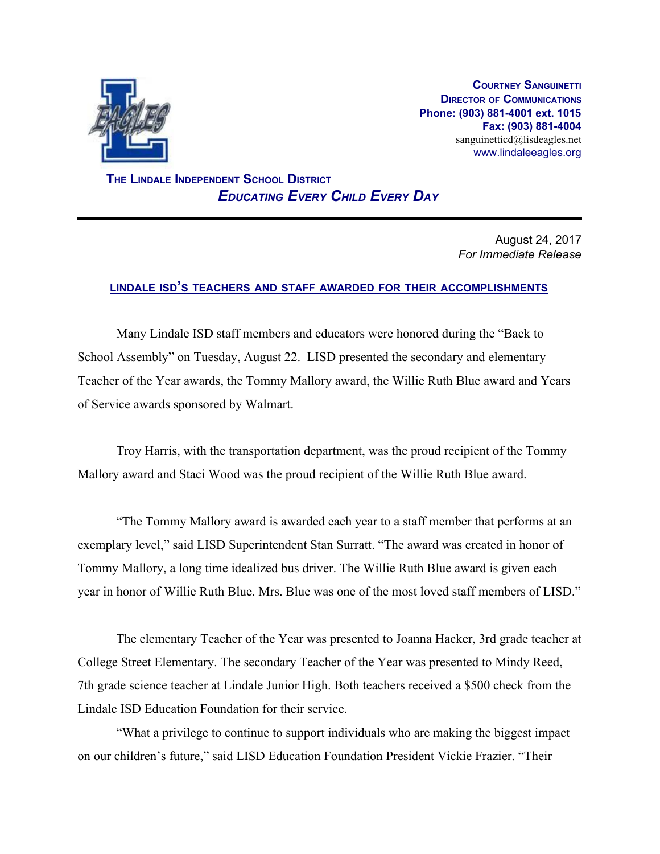

**COURTNEY SANGUINETTI DIRECTOR OF COMMUNICATIONS Phone: (903) 881-4001 ext. 1015 Fax: (903) 881-4004** sanguinetticd@lisdeagles.net www.lindaleeagles.org

 **THE LINDALE INDEPENDENT SCHOOL DISTRICT** *EDUCATING EVERY CHILD EVERY DAY*

> August 24, 2017 *For Immediate Release*

## **LINDALE ISD'<sup>S</sup> TEACHERS AND STAFF AWARDED FOR THEIR ACCOMPLISHMENTS**

Many Lindale ISD staff members and educators were honored during the "Back to School Assembly" on Tuesday, August 22. LISD presented the secondary and elementary Teacher of the Year awards, the Tommy Mallory award, the Willie Ruth Blue award and Years of Service awards sponsored by Walmart.

Troy Harris, with the transportation department, was the proud recipient of the Tommy Mallory award and Staci Wood was the proud recipient of the Willie Ruth Blue award.

"The Tommy Mallory award is awarded each year to a staff member that performs at an exemplary level," said LISD Superintendent Stan Surratt. "The award was created in honor of Tommy Mallory, a long time idealized bus driver. The Willie Ruth Blue award is given each year in honor of Willie Ruth Blue. Mrs. Blue was one of the most loved staff members of LISD."

The elementary Teacher of the Year was presented to Joanna Hacker, 3rd grade teacher at College Street Elementary. The secondary Teacher of the Year was presented to Mindy Reed, 7th grade science teacher at Lindale Junior High. Both teachers received a \$500 check from the Lindale ISD Education Foundation for their service.

"What a privilege to continue to support individuals who are making the biggest impact on our children's future," said LISD Education Foundation President Vickie Frazier. "Their